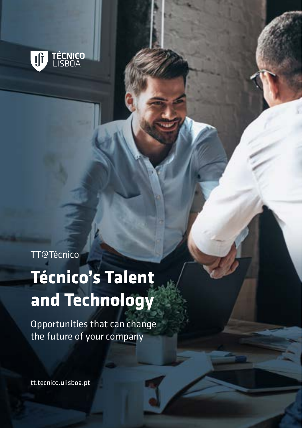

TT@Técnico

# **Técnico's Talent and Technology**

Opportunities that can change the future of your company

tt.tecnico.ulisboa.pt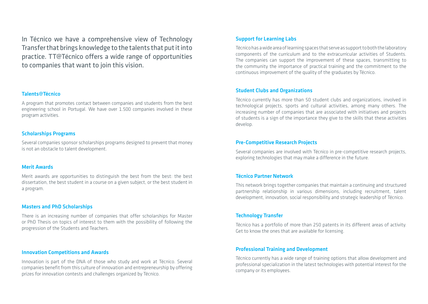In Técnico we have a comprehensive view of Technology Transfer that brings knowledge to the talents that put it into practice. TT@Técnico offers a wide range of opportunities to companies that want to join this vision.

## Talents@Técnico

A program that promotes contact between companies and students from the best engineering school in Portugal. We have over 1.500 companies involved in these program activities.

# Scholarships Programs

Several companies sponsor scholarships programs designed to prevent that money is not an obstacle to talent development.

#### Merit Awards

Merit awards are opportunities to distinguish the best from the best: the best dissertation, the best student in a course on a given subject, or the best student in a program.

## Masters and PhD Scholarships

There is an increasing number of companies that offer scholarships for Master or PhD Thesis on topics of interest to them with the possibility of following the progression of the Students and Teachers.

# Innovation Competitions and Awards

Innovation is part of the DNA of those who study and work at Técnico. Several companies benefit from this culture of innovation and entrepreneurship by offering prizes for innovation contests and challenges organized by Técnico.

# Support for Learning Labs

Técnico has a wide area of learning spaces that serve as support to both the laboratory components of the curriculum and to the extracurricular activities of Students. The companies can support the improvement of these spaces, transmitting to the community the importance of practical training and the commitment to the continuous improvement of the quality of the graduates by Técnico.

### Student Clubs and Organizations

Técnico currently has more than 50 student clubs and organizations, involved in technological projects, sports and cultural activities, among many others. The increasing number of companies that are associated with initiatives and projects of students is a sign of the importance they give to the skills that these activities develop.

# Pre-Competitive Research Projects

Several companies are involved with Técnico in pre-competitive research projects, exploring technologies that may make a difference in the future.

#### Técnico Partner Network

This network brings together companies that maintain a continuing and structured partnership relationship in various dimensions, including recruitment, talent development, innovation, social responsibility and strategic leadership of Técnico.

# Technology Transfer

Técnico has a portfolio of more than 250 patents in its different areas of activity. Get to know the ones that are available for licensing.

# Professional Training and Development

Técnico currently has a wide range of training options that allow development and professional specialization in the latest technologies with potential interest for the company or its employees.